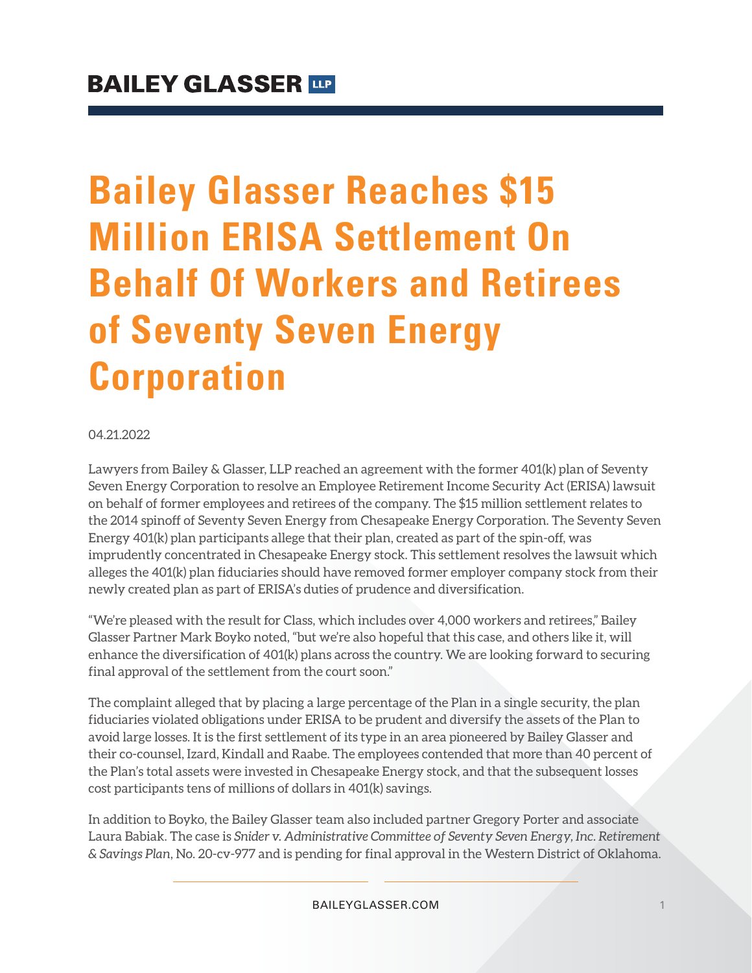# **Bailey Glasser Reaches \$15 Million ERISA Settlement On Behalf Of Workers and Retirees of Seventy Seven Energy Corporation**

#### 04.21.2022

Lawyers from Bailey & Glasser, LLP reached an agreement with the former 401(k) plan of Seventy Seven Energy Corporation to resolve an Employee Retirement Income Security Act (ERISA) lawsuit on behalf of former employees and retirees of the company. The \$15 million settlement relates to the 2014 spinoff of Seventy Seven Energy from Chesapeake Energy Corporation. The Seventy Seven Energy 401(k) plan participants allege that their plan, created as part of the spin-off, was imprudently concentrated in Chesapeake Energy stock. This settlement resolves the lawsuit which alleges the 401(k) plan fiduciaries should have removed former employer company stock from their newly created plan as part of ERISA's duties of prudence and diversification.

"We're pleased with the result for Class, which includes over 4,000 workers and retirees," Bailey Glasser Partner Mark Boyko noted, "but we're also hopeful that this case, and others like it, will enhance the diversification of 401(k) plans across the country. We are looking forward to securing final approval of the settlement from the court soon."

The complaint alleged that by placing a large percentage of the Plan in a single security, the plan fiduciaries violated obligations under ERISA to be prudent and diversify the assets of the Plan to avoid large losses. It is the first settlement of its type in an area pioneered by Bailey Glasser and their co-counsel, Izard, Kindall and Raabe. The employees contended that more than 40 percent of the Plan's total assets were invested in Chesapeake Energy stock, and that the subsequent losses cost participants tens of millions of dollars in 401(k) savings.

In addition to Boyko, the Bailey Glasser team also included partner Gregory Porter and associate Laura Babiak. The case is *Snider v. Administrative Committee of Seventy Seven Energy, Inc. Retirement & Savings Plan*, No. 20-cv-977 and is pending for final approval in the Western District of Oklahoma.

BAILEYGLASSER.COM 1